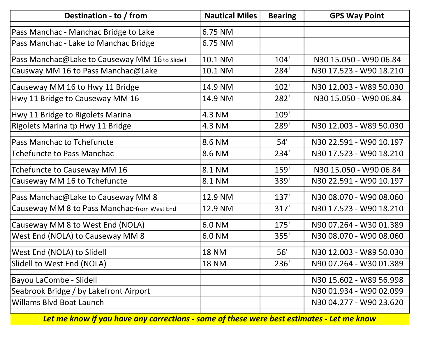| Destination - to / from                        | <b>Nautical Miles</b> | <b>Bearing</b> | <b>GPS Way Point</b>    |
|------------------------------------------------|-----------------------|----------------|-------------------------|
| Pass Manchac - Manchac Bridge to Lake          | 6.75 NM               |                |                         |
| Pass Manchac - Lake to Manchac Bridge          | 6.75 NM               |                |                         |
| Pass Manchac@Lake to Causeway MM 16 to Slidell | 10.1 NM               | 104'           | N30 15.050 - W90 06.84  |
| Causway MM 16 to Pass Manchac@Lake             | 10.1 NM               | 284'           | N30 17.523 - W90 18.210 |
| Causeway MM 16 to Hwy 11 Bridge                | 14.9 NM               | 102'           | N30 12.003 - W89 50.030 |
| Hwy 11 Bridge to Causeway MM 16                | 14.9 NM               | 282'           | N30 15.050 - W90 06.84  |
| Hwy 11 Bridge to Rigolets Marina               | 4.3 NM                | 109'           |                         |
| Rigolets Marina tp Hwy 11 Bridge               | 4.3 NM                | 289'           | N30 12.003 - W89 50.030 |
| Pass Manchac to Tchefuncte                     | 8.6 NM                | 54'            | N30 22.591 - W90 10.197 |
| <b>Tchefuncte to Pass Manchac</b>              | 8.6 NM                | 234'           | N30 17.523 - W90 18.210 |
| Tchefuncte to Causeway MM 16                   | 8.1 NM                | 159'           | N30 15.050 - W90 06.84  |
| Causeway MM 16 to Tchefuncte                   | 8.1 NM                | 339'           | N30 22.591 - W90 10.197 |
| Pass Manchac@Lake to Causeway MM 8             | 12.9 NM               | 137'           | N30 08.070 - W90 08.060 |
| Causeway MM 8 to Pass Manchac-from West End    | 12.9 NM               | 317'           | N30 17.523 - W90 18.210 |
| Causeway MM 8 to West End (NOLA)               | 6.0 NM                | 175'           | N90 07.264 - W30 01.389 |
| West End (NOLA) to Causeway MM 8               | 6.0 NM                | 355'           | N30 08.070 - W90 08.060 |
| West End (NOLA) to Slidell                     | <b>18 NM</b>          | 56'            | N30 12.003 - W89 50.030 |
| Slidell to West End (NOLA)                     | <b>18 NM</b>          | 236'           | N90 07.264 - W30 01.389 |
| Bayou LaCombe - Slidell                        |                       |                | N30 15.602 - W89 56.998 |
| Seabrook Bridge / by Lakefront Airport         |                       |                | N30 01.934 - W90 02.099 |
| <b>Willams Blvd Boat Launch</b>                |                       |                | N30 04.277 - W90 23.620 |
|                                                |                       |                |                         |

Let me know if you have any corrections - some of these were best estimates - Let me know